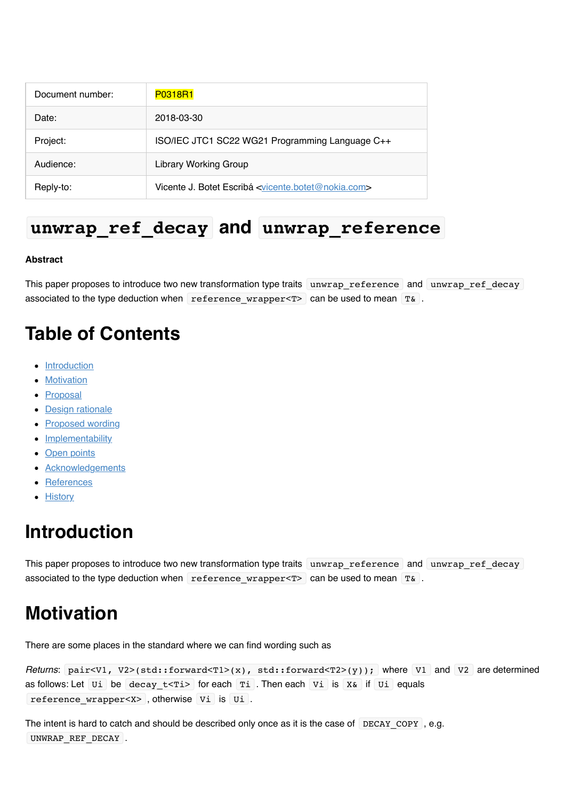| Document number: | <b>P0318R1</b>                                                               |
|------------------|------------------------------------------------------------------------------|
| Date:            | 2018-03-30                                                                   |
| Project:         | ISO/IEC JTC1 SC22 WG21 Programming Language C++                              |
| Audience:        | <b>Library Working Group</b>                                                 |
| Reply-to:        | Vicente J. Botet Escribá <vicente.botet@nokia.com></vicente.botet@nokia.com> |

### **unwrap\_ref\_decay and unwrap\_reference**

#### **Abstract**

This paper proposes to introduce two new transformation type traits unwrap reference and unwrap ref decay associated to the type deduction when reference wrapper $\langle T \rangle$  can be used to mean T&.

# **Table of Contents**

- [Introduction](file:///Users/viboes/github/std_make/doc/proposal/utilities/p0318r1.md#introduction)
- [Motivation](file:///Users/viboes/github/std_make/doc/proposal/utilities/p0318r1.md#motivation)
- [Proposal](file:///Users/viboes/github/std_make/doc/proposal/utilities/p0318r1.md#proposal)
- [Design rationale](file:///Users/viboes/github/std_make/doc/proposal/utilities/p0318r1.md#design-rationale)
- [Proposed wording](file:///Users/viboes/github/std_make/doc/proposal/utilities/p0318r1.md#proposed-wording)
- [Implementability](file:///Users/viboes/github/std_make/doc/proposal/utilities/p0318r1.md#implementability)
- [Open points](file:///Users/viboes/github/std_make/doc/proposal/utilities/p0318r1.md#open-points)
- **[Acknowledgements](file:///Users/viboes/github/std_make/doc/proposal/utilities/p0318r1.md#acknowledgements)**
- [References](file:///Users/viboes/github/std_make/doc/proposal/utilities/p0318r1.md#references)
- **[History](file:///Users/viboes/github/std_make/doc/proposal/utilities/p0318r1.md#history)**

# **Introduction**

This paper proposes to introduce two new transformation type traits unwrap reference and unwrap ref decay associated to the type deduction when reference wrapper<T> can be used to mean T&.

# **Motivation**

There are some places in the standard where we can find wording such as

```
Returns: pair<V1, V2>(std::forward<T1>(x), std::forward<T2>(y)); where V1 and V2 are determined
as follows: Let U_i be decay t \leq T_i for each T_i. Then each V_i is X& if U_i equals
reference_wrapper<X> , otherwise Vi is Ui .
```
The intent is hard to catch and should be described only once as it is the case of  $DECAY$  COPY , e.g. UNWRAP REF DECAY .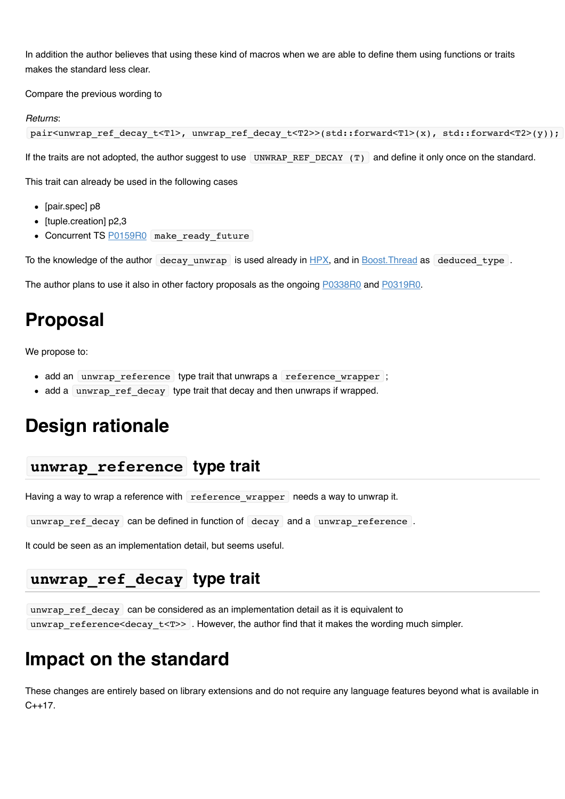In addition the author believes that using these kind of macros when we are able to define them using functions or traits makes the standard less clear.

Compare the previous wording to

#### *Returns*:

```
pair<unwrap_ref_decay_t<T1>, unwrap_ref_decay_t<T2>>(std::forward<T1>(x), std::forward<T2>(y));
```
If the traits are not adopted, the author suggest to use UNWRAP\_REF\_DECAY  $(T)$  and define it only once on the standard.

This trait can already be used in the following cases

- [pair.spec] p8
- $\bullet$  [tuple.creation] p2,3
- Concurrent TS [P0159R0](http://www.open-std.org/jtc1/sc22/wg21/docs/papers/2015/p0159r0.html) make\_ready\_future

To the knowledge of the author decay unwrap is used already in [HPX](http://stellar.cct.lsu.edu/files/hpx_0.9.8/html/hpx.html), and in Boost. Thread as deduced type.

The author plans to use it also in other factory proposals as the ongoing [P0338R0](http://www.open-std.org/jtc1/sc22/wg21/docs/papers/2016/p0338r0.pdf) and [P0319R0.](http://www.open-std.org/jtc1/sc22/wg21/docs/papers/2016/p0319r0.pdf)

## **Proposal**

We propose to:

- add an unwrap reference type trait that unwraps a reference wrapper ;
- add a unwrap ref decay type trait that decay and then unwraps if wrapped.

## **Design rationale**

#### **unwrap\_reference type trait**

Having a way to wrap a reference with reference wrapper needs a way to unwrap it.

unwrap\_ref\_decay can be defined in function of decay and a unwrap\_reference .

It could be seen as an implementation detail, but seems useful.

#### **unwrap\_ref\_decay type trait**

unwrap\_ref\_decay can be considered as an implementation detail as it is equivalent to unwrap\_reference<decay\_t<T>> . However, the author find that it makes the wording much simpler.

### **Impact on the standard**

These changes are entirely based on library extensions and do not require any language features beyond what is available in  $C_{++}17$ .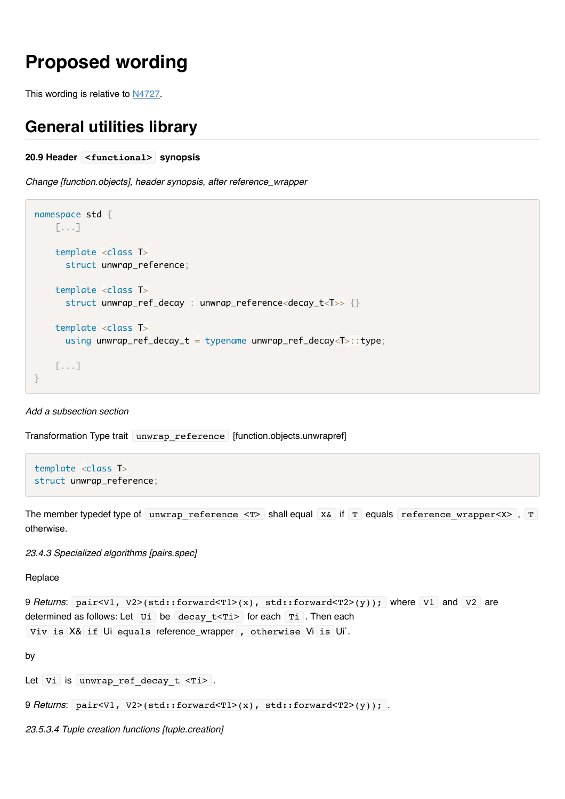# **Proposed wording**

This wording is relative to [N4727.](http://www.open-std.org/jtc1/sc22/wg21/docs/papers/2018/n4727.pdf)

#### **General utilities library**

```
20.9 Header <functional> synopsis
```
*Change [function.objects], header synopsis, after reference\_wrapper*

```
namespace std {
     [...]
     template <class T>
       struct unwrap_reference;
     template <class T>
       struct unwrap_ref_decay : unwrap_reference<decay_t<T>> {}
     template <class T>
      using unwrap_ref_decay_t = typename unwrap_ref_decay<T>::type;
     [...]
}
```
#### *Add a subsection section*

Transformation Type trait unwrap reference [function.objects.unwrapref]

```
template <class T>
struct unwrap_reference;
```
The member typedef type of unwrap reference  $\langle T \rangle$  shall equal X& if T equals reference wrapper $\langle X \rangle$ , T otherwise.

*23.4.3 Specialized algorithms [pairs.spec]*

**Replace** 

```
9 Returns: pair<V1, V2>(std::forward<T1>(x), std::forward<T2>(y)); where V1 and V2 are
determined as follows: Let \overline{u} be decay t<Ti> for each Ti . Then each
Viv is X& if Ui equals reference_wrapper , otherwise Vi is Ui`.
```
by

Let  $Vi$  is unwrap ref decay  $t$  <Ti> .

```
9 Returns: pair<V1, V2>(std::forward<T1>(x), std::forward<T2>(y)); .
```
*23.5.3.4 Tuple creation functions [tuple.creation]*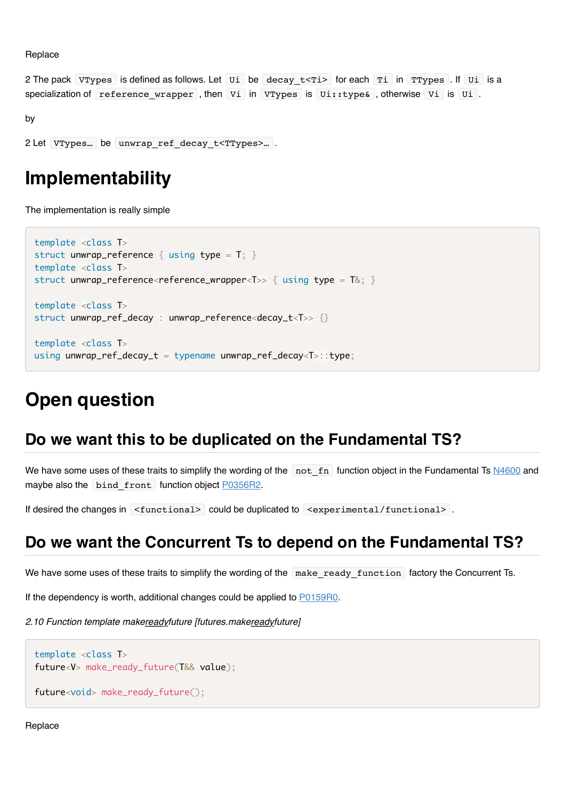Replace

2 The pack VTypes is defined as follows. Let Ui be decay t<Ti> for each Ti in TTypes . If Ui is a specialization of reference wrapper , then Vi in VTypes is Ui::type& , otherwise Vi is Ui .

```
by
```

```
2 Let VTypes... be unwrap ref decay t<TTypes>....
```
### **Implementability**

The implementation is really simple

```
template <class T>
struct unwrap_reference { using type = T; }
template <class T>
struct unwrap_reference<reference_wrapper<T>> { using type = T\&; }
template <class T>
struct unwrap_ref_decay : unwrap_reference<decay_t<T>> {}
template <class T>
using unwrap_ref_decay_t = typename unwrap_ref_decay<T>::type;
```
# **Open question**

### **Do we want this to be duplicated on the Fundamental TS?**

We have some uses of these traits to simplify the wording of the not\_fn function object in the Fundamental Ts [N4600](http://www.open-std.org/jtc1/sc22/wg21/docs/papers/2016/n4600.html#func.not_fn) and maybe also the bind front function object [P0356R2.](file:///Users/viboes/github/std_make/doc/proposal/utilities/www.open-std.org/jtc1/sc22/wg21/docs/papers/2017/P0356R2.html)

If desired the changes in  $\le$  functional> could be duplicated to  $\le$  experimental/functional>.

### **Do we want the Concurrent Ts to depend on the Fundamental TS?**

We have some uses of these traits to simplify the wording of the make\_ready\_function factory the Concurrent Ts.

If the dependency is worth, additional changes could be applied to [P0159R0.](http://www.open-std.org/jtc1/sc22/wg21/docs/papers/2015/p0159r0.html)

*2.10 Function template makereadyfuture [futures.makereadyfuture]*

```
template <class T>
future<V> make_ready_future(T&& value);
```
future<void> make\_ready\_future();

Replace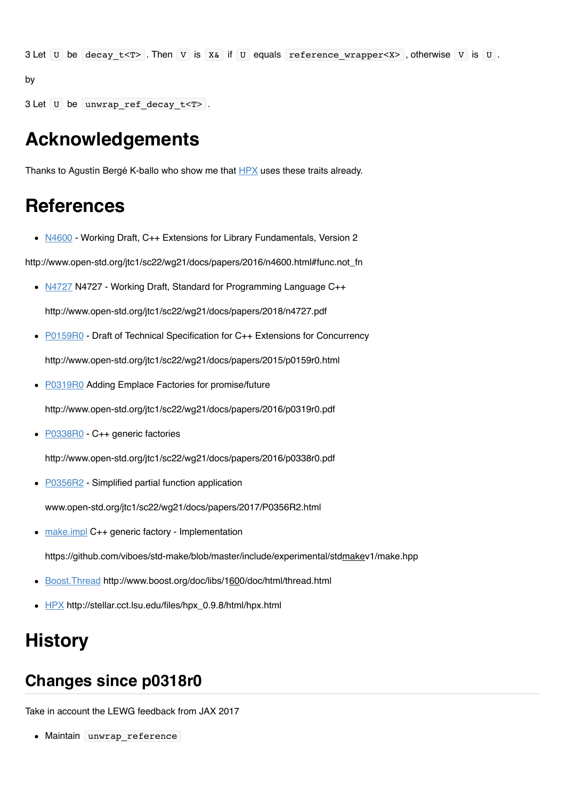3 Let  $U$  be decay\_t<T> . Then  $V$  is  $X&$  if  $U$  equals reference\_wrapper<X>, otherwise  $V$  is  $U$ .

by

3 Let U be unwrap ref decay t<T>.

### **Acknowledgements**

Thanks to Agustín Bergé K-ballo who show me that **HPX** uses these traits already.

## **References**

• [N4600](http://www.open-std.org/jtc1/sc22/wg21/docs/papers/2016/n4600.html#func.not_fn) - Working Draft, C++ Extensions for Library Fundamentals, Version 2

http://www.open-std.org/jtc1/sc22/wg21/docs/papers/2016/n4600.html#func.not\_fn

[N4727](http://www.open-std.org/jtc1/sc22/wg21/docs/papers/2018/n4727.pdf) N4727 - Working Draft, Standard for Programming Language C++

http://www.open-std.org/jtc1/sc22/wg21/docs/papers/2018/n4727.pdf

• [P0159R0](http://www.open-std.org/jtc1/sc22/wg21/docs/papers/2015/p0159r0.html) - Draft of Technical Specification for C++ Extensions for Concurrency

http://www.open-std.org/jtc1/sc22/wg21/docs/papers/2015/p0159r0.html

• [P0319R0](http://www.open-std.org/jtc1/sc22/wg21/docs/papers/2016/p0319r0.pdf) Adding Emplace Factories for promise/future

http://www.open-std.org/jtc1/sc22/wg21/docs/papers/2016/p0319r0.pdf

● [P0338R0](http://www.open-std.org/jtc1/sc22/wg21/docs/papers/2016/p0338r0.pdf) - C++ generic factories

http://www.open-std.org/jtc1/sc22/wg21/docs/papers/2016/p0338r0.pdf

• [P0356R2](file:///Users/viboes/github/std_make/doc/proposal/utilities/www.open-std.org/jtc1/sc22/wg21/docs/papers/2017/P0356R2.html) - Simplified partial function application

www.open-std.org/jtc1/sc22/wg21/docs/papers/2017/P0356R2.html

[make.impl](https://github.com/viboes/std-make/blob/master/include/experimental/std_make_v1/make.hpp) C++ generic factory - Implementation

https://github.com/viboes/std-make/blob/master/include/experimental/stdmakev1/make.hpp

- [Boost.Thread](http://www.boost.org/doc/libs/1_60_0/doc/html/thread.html) http://www.boost.org/doc/libs/1600/doc/html/thread.html
- [HPX](http://stellar.cct.lsu.edu/files/hpx_0.9.8/html/hpx.html) http://stellar.cct.lsu.edu/files/hpx\_0.9.8/html/hpx.html

### **History**

### **Changes since p0318r0**

Take in account the LEWG feedback from JAX 2017

• Maintain unwrap reference